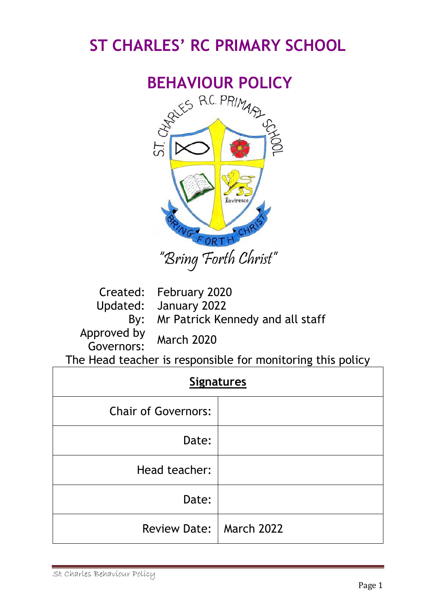# **ST CHARLES' RC PRIMARY SCHOOL**



Created: February 2020 Updated: January 2022 By: Mr Patrick Kennedy and all staff Approved by pproved by March 2020

The Head teacher is responsible for monitoring this policy

| <b>Signatures</b>          |  |
|----------------------------|--|
| <b>Chair of Governors:</b> |  |
| Date:                      |  |
| Head teacher:              |  |
| Date:                      |  |
| Review Date:   March 2022  |  |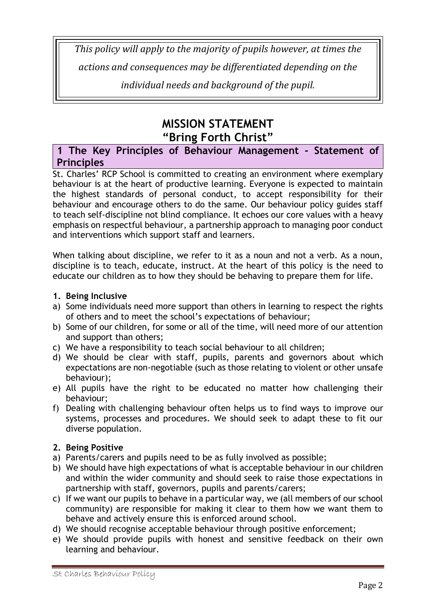*This policy will apply to the majority of pupils however, at times the actions and consequences may be differentiated depending on the individual needs and background of the pupil.*

# **MISSION STATEMENT "Bring Forth Christ"**

# **1 The Key Principles of Behaviour Management - Statement of Principles**

St. Charles' RCP School is committed to creating an environment where exemplary behaviour is at the heart of productive learning. Everyone is expected to maintain the highest standards of personal conduct, to accept responsibility for their behaviour and encourage others to do the same. Our behaviour policy guides staff to teach self-discipline not blind compliance. It echoes our core values with a heavy emphasis on respectful behaviour, a partnership approach to managing poor conduct and interventions which support staff and learners.

When talking about discipline, we refer to it as a noun and not a verb. As a noun, discipline is to teach, educate, instruct. At the heart of this policy is the need to educate our children as to how they should be behaving to prepare them for life.

# **1. Being Inclusive**

- a) Some individuals need more support than others in learning to respect the rights of others and to meet the school's expectations of behaviour;
- b) Some of our children, for some or all of the time, will need more of our attention and support than others;
- c) We have a responsibility to teach social behaviour to all children;
- d) We should be clear with staff, pupils, parents and governors about which expectations are non-negotiable (such as those relating to violent or other unsafe behaviour);
- e) All pupils have the right to be educated no matter how challenging their behaviour;
- f) Dealing with challenging behaviour often helps us to find ways to improve our systems, processes and procedures. We should seek to adapt these to fit our diverse population.

# **2. Being Positive**

- a) Parents/carers and pupils need to be as fully involved as possible;
- b) We should have high expectations of what is acceptable behaviour in our children and within the wider community and should seek to raise those expectations in partnership with staff, governors, pupils and parents/carers;
- c) If we want our pupils to behave in a particular way, we (all members of our school community) are responsible for making it clear to them how we want them to behave and actively ensure this is enforced around school.
- d) We should recognise acceptable behaviour through positive enforcement;
- e) We should provide pupils with honest and sensitive feedback on their own learning and behaviour.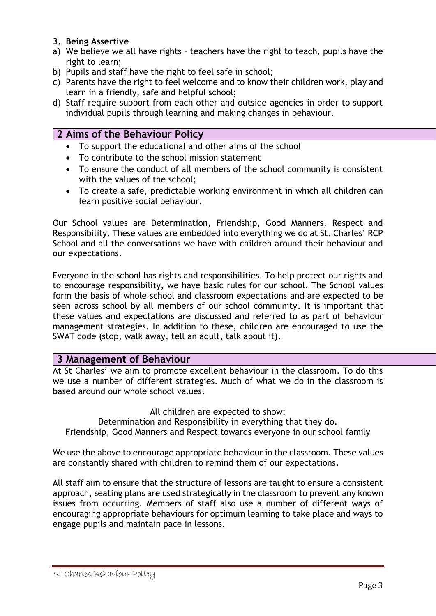#### **3. Being Assertive**

- a) We believe we all have rights teachers have the right to teach, pupils have the right to learn;
- b) Pupils and staff have the right to feel safe in school;
- c) Parents have the right to feel welcome and to know their children work, play and learn in a friendly, safe and helpful school;
- d) Staff require support from each other and outside agencies in order to support individual pupils through learning and making changes in behaviour.

# **2 Aims of the Behaviour Policy**

- To support the educational and other aims of the school
- To contribute to the school mission statement
- To ensure the conduct of all members of the school community is consistent with the values of the school;
- To create a safe, predictable working environment in which all children can learn positive social behaviour.

Our School values are Determination, Friendship, Good Manners, Respect and Responsibility. These values are embedded into everything we do at St. Charles' RCP School and all the conversations we have with children around their behaviour and our expectations.

Everyone in the school has rights and responsibilities. To help protect our rights and to encourage responsibility, we have basic rules for our school. The School values form the basis of whole school and classroom expectations and are expected to be seen across school by all members of our school community. It is important that these values and expectations are discussed and referred to as part of behaviour management strategies. In addition to these, children are encouraged to use the SWAT code (stop, walk away, tell an adult, talk about it).

# **3 Management of Behaviour**

At St Charles' we aim to promote excellent behaviour in the classroom. To do this we use a number of different strategies. Much of what we do in the classroom is based around our whole school values.

All children are expected to show:

Determination and Responsibility in everything that they do. Friendship, Good Manners and Respect towards everyone in our school family

We use the above to encourage appropriate behaviour in the classroom. These values are constantly shared with children to remind them of our expectations.

All staff aim to ensure that the structure of lessons are taught to ensure a consistent approach, seating plans are used strategically in the classroom to prevent any known issues from occurring. Members of staff also use a number of different ways of encouraging appropriate behaviours for optimum learning to take place and ways to engage pupils and maintain pace in lessons.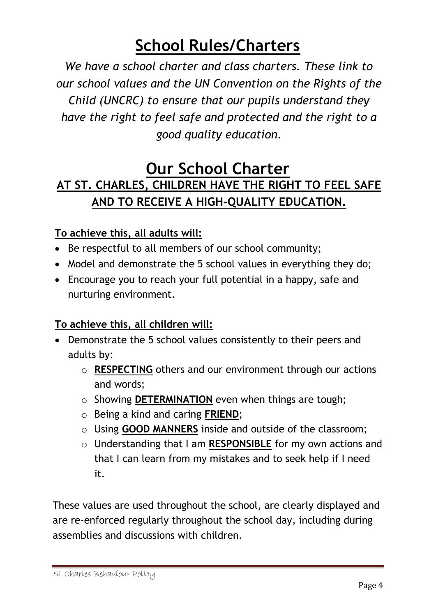# **School Rules/Charters**

*We have a school charter and class charters. These link to our school values and the UN Convention on the Rights of the Child (UNCRC) to ensure that our pupils understand they have the right to feel safe and protected and the right to a good quality education.*

# **Our School Charter AT ST. CHARLES, CHILDREN HAVE THE RIGHT TO FEEL SAFE AND TO RECEIVE A HIGH-QUALITY EDUCATION.**

# **To achieve this, all adults will:**

- Be respectful to all members of our school community;
- Model and demonstrate the 5 school values in everything they do;
- Encourage you to reach your full potential in a happy, safe and nurturing environment.

# **To achieve this, all children will:**

- Demonstrate the 5 school values consistently to their peers and adults by:
	- o **RESPECTING** others and our environment through our actions and words;
	- o Showing **DETERMINATION** even when things are tough;
	- o Being a kind and caring **FRIEND**;
	- o Using **GOOD MANNERS** inside and outside of the classroom;
	- o Understanding that I am **RESPONSIBLE** for my own actions and that I can learn from my mistakes and to seek help if I need it.

These values are used throughout the school, are clearly displayed and are re-enforced regularly throughout the school day, including during assemblies and discussions with children.

St Charles Behaviour Policy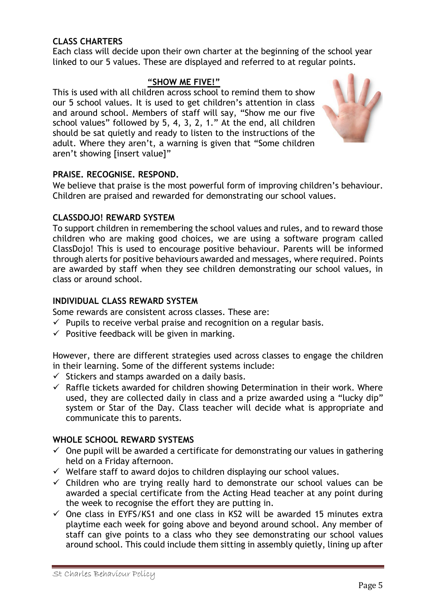# **CLASS CHARTERS**

Each class will decide upon their own charter at the beginning of the school year linked to our 5 values. These are displayed and referred to at regular points.

#### **"SHOW ME FIVE!"**

This is used with all children across school to remind them to show our 5 school values. It is used to get children's attention in class and around school. Members of staff will say, "Show me our five school values" followed by 5, 4, 3, 2, 1." At the end, all children should be sat quietly and ready to listen to the instructions of the adult. Where they aren't, a warning is given that "Some children aren't showing [insert value]"



#### **PRAISE. RECOGNISE. RESPOND.**

We believe that praise is the most powerful form of improving children's behaviour. Children are praised and rewarded for demonstrating our school values.

#### **CLASSDOJO! REWARD SYSTEM**

To support children in remembering the school values and rules, and to reward those children who are making good choices, we are using a software program called ClassDojo! This is used to encourage positive behaviour. Parents will be informed through alerts for positive behaviours awarded and messages, where required. Points are awarded by staff when they see children demonstrating our school values, in class or around school.

#### **INDIVIDUAL CLASS REWARD SYSTEM**

Some rewards are consistent across classes. These are:

- $\checkmark$  Pupils to receive verbal praise and recognition on a regular basis.
- $\checkmark$  Positive feedback will be given in marking.

However, there are different strategies used across classes to engage the children in their learning. Some of the different systems include:

- $\checkmark$  Stickers and stamps awarded on a daily basis.
- $\checkmark$  Raffle tickets awarded for children showing Determination in their work. Where used, they are collected daily in class and a prize awarded using a "lucky dip" system or Star of the Day. Class teacher will decide what is appropriate and communicate this to parents.

#### **WHOLE SCHOOL REWARD SYSTEMS**

- $\checkmark$  One pupil will be awarded a certificate for demonstrating our values in gathering held on a Friday afternoon.
- ✓ Welfare staff to award dojos to children displaying our school values.
- $\checkmark$  Children who are trying really hard to demonstrate our school values can be awarded a special certificate from the Acting Head teacher at any point during the week to recognise the effort they are putting in.
- $\checkmark$  One class in EYFS/KS1 and one class in KS2 will be awarded 15 minutes extra playtime each week for going above and beyond around school. Any member of staff can give points to a class who they see demonstrating our school values around school. This could include them sitting in assembly quietly, lining up after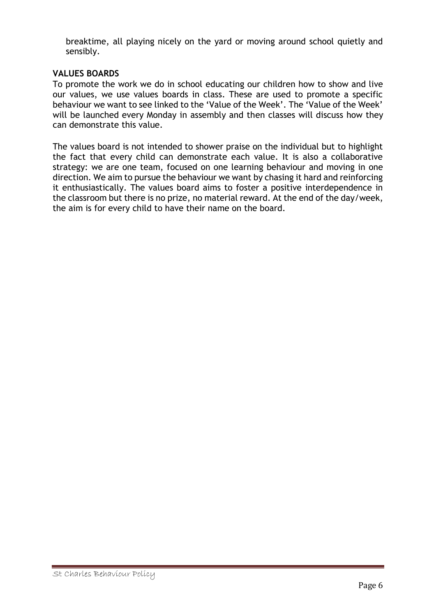breaktime, all playing nicely on the yard or moving around school quietly and sensibly.

#### **VALUES BOARDS**

To promote the work we do in school educating our children how to show and live our values, we use values boards in class. These are used to promote a specific behaviour we want to see linked to the 'Value of the Week'. The 'Value of the Week' will be launched every Monday in assembly and then classes will discuss how they can demonstrate this value.

The values board is not intended to shower praise on the individual but to highlight the fact that every child can demonstrate each value. It is also a collaborative strategy: we are one team, focused on one learning behaviour and moving in one direction. We aim to pursue the behaviour we want by chasing it hard and reinforcing it enthusiastically. The values board aims to foster a positive interdependence in the classroom but there is no prize, no material reward. At the end of the day/week, the aim is for every child to have their name on the board.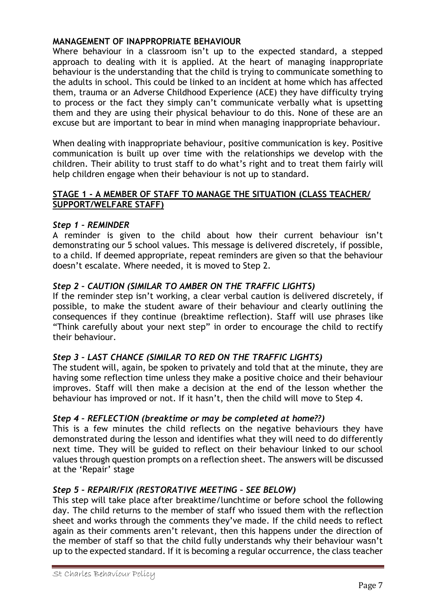#### **MANAGEMENT OF INAPPROPRIATE BEHAVIOUR**

Where behaviour in a classroom isn't up to the expected standard, a stepped approach to dealing with it is applied. At the heart of managing inappropriate behaviour is the understanding that the child is trying to communicate something to the adults in school. This could be linked to an incident at home which has affected them, trauma or an Adverse Childhood Experience (ACE) they have difficulty trying to process or the fact they simply can't communicate verbally what is upsetting them and they are using their physical behaviour to do this. None of these are an excuse but are important to bear in mind when managing inappropriate behaviour.

When dealing with inappropriate behaviour, positive communication is key. Positive communication is built up over time with the relationships we develop with the children. Their ability to trust staff to do what's right and to treat them fairly will help children engage when their behaviour is not up to standard.

#### **STAGE 1 - A MEMBER OF STAFF TO MANAGE THE SITUATION (CLASS TEACHER/ SUPPORT/WELFARE STAFF)**

#### *Step 1 – REMINDER*

A reminder is given to the child about how their current behaviour isn't demonstrating our 5 school values. This message is delivered discretely, if possible, to a child. If deemed appropriate, repeat reminders are given so that the behaviour doesn't escalate. Where needed, it is moved to Step 2.

# *Step 2 – CAUTION (SIMILAR TO AMBER ON THE TRAFFIC LIGHTS)*

If the reminder step isn't working, a clear verbal caution is delivered discretely, if possible, to make the student aware of their behaviour and clearly outlining the consequences if they continue (breaktime reflection). Staff will use phrases like "Think carefully about your next step" in order to encourage the child to rectify their behaviour.

#### *Step 3 – LAST CHANCE (SIMILAR TO RED ON THE TRAFFIC LIGHTS)*

The student will, again, be spoken to privately and told that at the minute, they are having some reflection time unless they make a positive choice and their behaviour improves. Staff will then make a decision at the end of the lesson whether the behaviour has improved or not. If it hasn't, then the child will move to Step 4.

#### *Step 4 – REFLECTION (breaktime or may be completed at home??)*

This is a few minutes the child reflects on the negative behaviours they have demonstrated during the lesson and identifies what they will need to do differently next time. They will be guided to reflect on their behaviour linked to our school values through question prompts on a reflection sheet. The answers will be discussed at the 'Repair' stage

#### *Step 5 – REPAIR/FIX (RESTORATIVE MEETING – SEE BELOW)*

This step will take place after breaktime/lunchtime or before school the following day. The child returns to the member of staff who issued them with the reflection sheet and works through the comments they've made. If the child needs to reflect again as their comments aren't relevant, then this happens under the direction of the member of staff so that the child fully understands why their behaviour wasn't up to the expected standard. If it is becoming a regular occurrence, the class teacher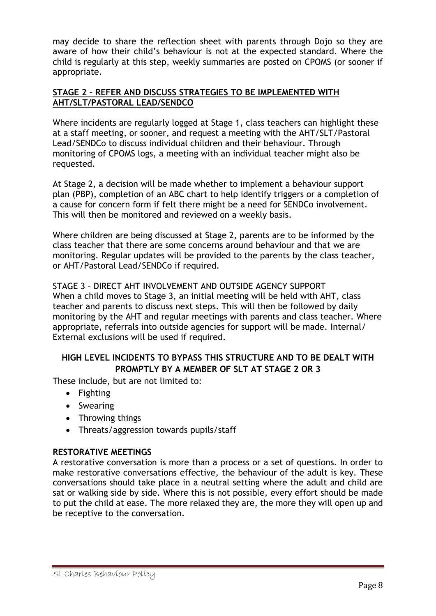may decide to share the reflection sheet with parents through Dojo so they are aware of how their child's behaviour is not at the expected standard. Where the child is regularly at this step, weekly summaries are posted on CPOMS (or sooner if appropriate.

#### **STAGE 2 – REFER AND DISCUSS STRATEGIES TO BE IMPLEMENTED WITH AHT/SLT/PASTORAL LEAD/SENDCO**

Where incidents are regularly logged at Stage 1, class teachers can highlight these at a staff meeting, or sooner, and request a meeting with the AHT/SLT/Pastoral Lead/SENDCo to discuss individual children and their behaviour. Through monitoring of CPOMS logs, a meeting with an individual teacher might also be requested.

At Stage 2, a decision will be made whether to implement a behaviour support plan (PBP), completion of an ABC chart to help identify triggers or a completion of a cause for concern form if felt there might be a need for SENDCo involvement. This will then be monitored and reviewed on a weekly basis.

Where children are being discussed at Stage 2, parents are to be informed by the class teacher that there are some concerns around behaviour and that we are monitoring. Regular updates will be provided to the parents by the class teacher, or AHT/Pastoral Lead/SENDCo if required.

STAGE 3 – DIRECT AHT INVOLVEMENT AND OUTSIDE AGENCY SUPPORT When a child moves to Stage 3, an initial meeting will be held with AHT, class teacher and parents to discuss next steps. This will then be followed by daily monitoring by the AHT and regular meetings with parents and class teacher. Where appropriate, referrals into outside agencies for support will be made. Internal/ External exclusions will be used if required.

# **HIGH LEVEL INCIDENTS TO BYPASS THIS STRUCTURE AND TO BE DEALT WITH PROMPTLY BY A MEMBER OF SLT AT STAGE 2 OR 3**

These include, but are not limited to:

- Fighting
- Swearing
- Throwing things
- Threats/aggression towards pupils/staff

# **RESTORATIVE MEETINGS**

A restorative conversation is more than a process or a set of questions. In order to make restorative conversations effective, the behaviour of the adult is key. These conversations should take place in a neutral setting where the adult and child are sat or walking side by side. Where this is not possible, every effort should be made to put the child at ease. The more relaxed they are, the more they will open up and be receptive to the conversation.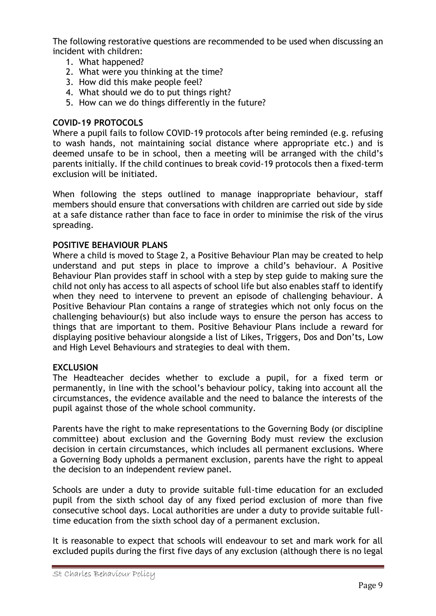The following restorative questions are recommended to be used when discussing an incident with children:

- 1. What happened?
- 2. What were you thinking at the time?
- 3. How did this make people feel?
- 4. What should we do to put things right?
- 5. How can we do things differently in the future?

#### **COVID-19 PROTOCOLS**

Where a pupil fails to follow COVID-19 protocols after being reminded (e.g. refusing to wash hands, not maintaining social distance where appropriate etc.) and is deemed unsafe to be in school, then a meeting will be arranged with the child's parents initially. If the child continues to break covid-19 protocols then a fixed-term exclusion will be initiated.

When following the steps outlined to manage inappropriate behaviour, staff members should ensure that conversations with children are carried out side by side at a safe distance rather than face to face in order to minimise the risk of the virus spreading.

#### **POSITIVE BEHAVIOUR PLANS**

Where a child is moved to Stage 2, a Positive Behaviour Plan may be created to help understand and put steps in place to improve a child's behaviour. A Positive Behaviour Plan provides staff in school with a step by step guide to making sure the child not only has access to all aspects of school life but also enables staff to identify when they need to intervene to prevent an episode of challenging behaviour. A Positive Behaviour Plan contains a range of strategies which not only focus on the challenging behaviour(s) but also include ways to ensure the person has access to things that are important to them. Positive Behaviour Plans include a reward for displaying positive behaviour alongside a list of Likes, Triggers, Dos and Don'ts, Low and High Level Behaviours and strategies to deal with them.

#### **EXCLUSION**

The Headteacher decides whether to exclude a pupil, for a fixed term or permanently, in line with the school's behaviour policy, taking into account all the circumstances, the evidence available and the need to balance the interests of the pupil against those of the whole school community.

Parents have the right to make representations to the Governing Body (or discipline committee) about exclusion and the Governing Body must review the exclusion decision in certain circumstances, which includes all permanent exclusions. Where a Governing Body upholds a permanent exclusion, parents have the right to appeal the decision to an independent review panel.

Schools are under a duty to provide suitable full-time education for an excluded pupil from the sixth school day of any fixed period exclusion of more than five consecutive school days. Local authorities are under a duty to provide suitable fulltime education from the sixth school day of a permanent exclusion.

It is reasonable to expect that schools will endeavour to set and mark work for all excluded pupils during the first five days of any exclusion (although there is no legal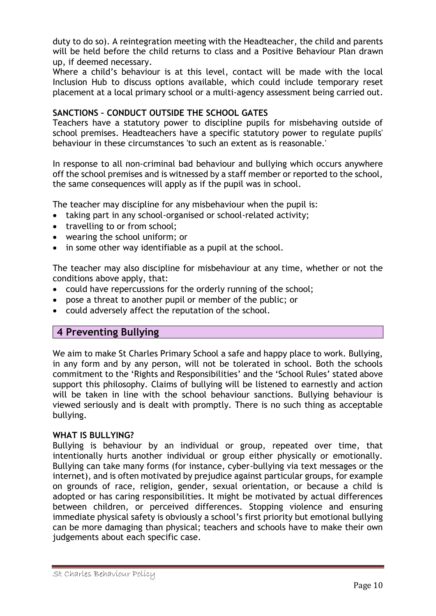duty to do so). A reintegration meeting with the Headteacher, the child and parents will be held before the child returns to class and a Positive Behaviour Plan drawn up, if deemed necessary.

Where a child's behaviour is at this level, contact will be made with the local Inclusion Hub to discuss options available, which could include temporary reset placement at a local primary school or a multi-agency assessment being carried out.

# **SANCTIONS – CONDUCT OUTSIDE THE SCHOOL GATES**

Teachers have a statutory power to discipline pupils for misbehaving outside of school premises. Headteachers have a specific statutory power to regulate pupils' behaviour in these circumstances 'to such an extent as is reasonable.'

In response to all non-criminal bad behaviour and bullying which occurs anywhere off the school premises and is witnessed by a staff member or reported to the school, the same consequences will apply as if the pupil was in school.

The teacher may discipline for any misbehaviour when the pupil is:

- taking part in any school-organised or school-related activity;
- travelling to or from school;
- wearing the school uniform; or
- in some other way identifiable as a pupil at the school.

The teacher may also discipline for misbehaviour at any time, whether or not the conditions above apply, that:

- could have repercussions for the orderly running of the school;
- pose a threat to another pupil or member of the public; or
- could adversely affect the reputation of the school.

# **4 Preventing Bullying**

We aim to make St Charles Primary School a safe and happy place to work. Bullying, in any form and by any person, will not be tolerated in school. Both the schools commitment to the 'Rights and Responsibilities' and the 'School Rules' stated above support this philosophy. Claims of bullying will be listened to earnestly and action will be taken in line with the school behaviour sanctions. Bullying behaviour is viewed seriously and is dealt with promptly. There is no such thing as acceptable bullying.

#### **WHAT IS BULLYING?**

Bullying is behaviour by an individual or group, repeated over time, that intentionally hurts another individual or group either physically or emotionally. Bullying can take many forms (for instance, cyber-bullying via text messages or the internet), and is often motivated by prejudice against particular groups, for example on grounds of race, religion, gender, sexual orientation, or because a child is adopted or has caring responsibilities. It might be motivated by actual differences between children, or perceived differences. Stopping violence and ensuring immediate physical safety is obviously a school's first priority but emotional bullying can be more damaging than physical; teachers and schools have to make their own judgements about each specific case.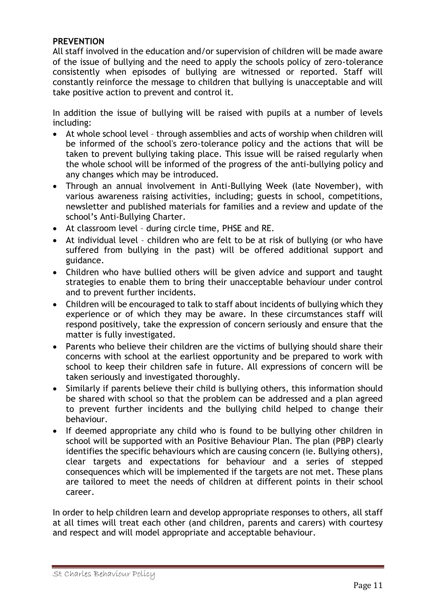#### **PREVENTION**

All staff involved in the education and/or supervision of children will be made aware of the issue of bullying and the need to apply the schools policy of zero-tolerance consistently when episodes of bullying are witnessed or reported. Staff will constantly reinforce the message to children that bullying is unacceptable and will take positive action to prevent and control it.

In addition the issue of bullying will be raised with pupils at a number of levels including:

- At whole school level through assemblies and acts of worship when children will be informed of the school's zero-tolerance policy and the actions that will be taken to prevent bullying taking place. This issue will be raised regularly when the whole school will be informed of the progress of the anti-bullying policy and any changes which may be introduced.
- Through an annual involvement in Anti-Bullying Week (late November), with various awareness raising activities, including; guests in school, competitions, newsletter and published materials for families and a review and update of the school's Anti-Bullying Charter.
- At classroom level during circle time, PHSE and RE.
- At individual level children who are felt to be at risk of bullying (or who have suffered from bullying in the past) will be offered additional support and guidance.
- Children who have bullied others will be given advice and support and taught strategies to enable them to bring their unacceptable behaviour under control and to prevent further incidents.
- Children will be encouraged to talk to staff about incidents of bullying which they experience or of which they may be aware. In these circumstances staff will respond positively, take the expression of concern seriously and ensure that the matter is fully investigated.
- Parents who believe their children are the victims of bullying should share their concerns with school at the earliest opportunity and be prepared to work with school to keep their children safe in future. All expressions of concern will be taken seriously and investigated thoroughly.
- Similarly if parents believe their child is bullying others, this information should be shared with school so that the problem can be addressed and a plan agreed to prevent further incidents and the bullying child helped to change their behaviour.
- If deemed appropriate any child who is found to be bullying other children in school will be supported with an Positive Behaviour Plan. The plan (PBP) clearly identifies the specific behaviours which are causing concern (ie. Bullying others), clear targets and expectations for behaviour and a series of stepped consequences which will be implemented if the targets are not met. These plans are tailored to meet the needs of children at different points in their school career.

In order to help children learn and develop appropriate responses to others, all staff at all times will treat each other (and children, parents and carers) with courtesy and respect and will model appropriate and acceptable behaviour.

St Charles Behaviour Policy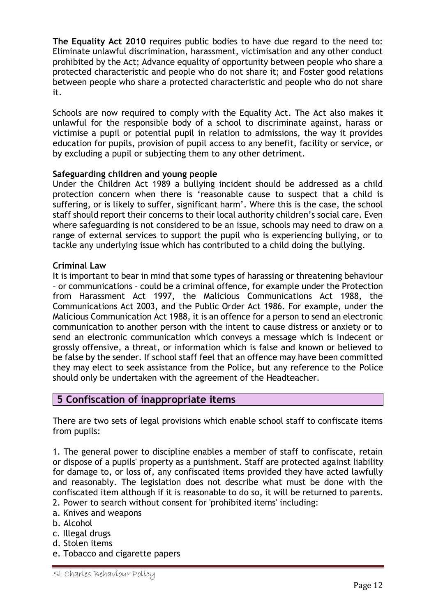**The Equality Act 2010** requires public bodies to have due regard to the need to: Eliminate unlawful discrimination, harassment, victimisation and any other conduct prohibited by the Act; Advance equality of opportunity between people who share a protected characteristic and people who do not share it; and Foster good relations between people who share a protected characteristic and people who do not share it.

Schools are now required to comply with the Equality Act. The Act also makes it unlawful for the responsible body of a school to discriminate against, harass or victimise a pupil or potential pupil in relation to admissions, the way it provides education for pupils, provision of pupil access to any benefit, facility or service, or by excluding a pupil or subjecting them to any other detriment.

#### **Safeguarding children and young people**

Under the Children Act 1989 a bullying incident should be addressed as a child protection concern when there is 'reasonable cause to suspect that a child is suffering, or is likely to suffer, significant harm'. Where this is the case, the school staff should report their concerns to their local authority children's social care. Even where safeguarding is not considered to be an issue, schools may need to draw on a range of external services to support the pupil who is experiencing bullying, or to tackle any underlying issue which has contributed to a child doing the bullying.

#### **Criminal Law**

It is important to bear in mind that some types of harassing or threatening behaviour – or communications – could be a criminal offence, for example under the Protection from Harassment Act 1997, the Malicious Communications Act 1988, the Communications Act 2003, and the Public Order Act 1986. For example, under the Malicious Communication Act 1988, it is an offence for a person to send an electronic communication to another person with the intent to cause distress or anxiety or to send an electronic communication which conveys a message which is indecent or grossly offensive, a threat, or information which is false and known or believed to be false by the sender. If school staff feel that an offence may have been committed they may elect to seek assistance from the Police, but any reference to the Police should only be undertaken with the agreement of the Headteacher.

# **5 Confiscation of inappropriate items**

There are two sets of legal provisions which enable school staff to confiscate items from pupils:

1. The general power to discipline enables a member of staff to confiscate, retain or dispose of a pupils' property as a punishment. Staff are protected against liability for damage to, or loss of, any confiscated items provided they have acted lawfully and reasonably. The legislation does not describe what must be done with the confiscated item although if it is reasonable to do so, it will be returned to parents.

- 2. Power to search without consent for 'prohibited items' including:
- a. Knives and weapons
- b. Alcohol
- c. Illegal drugs
- d. Stolen items
- e. Tobacco and cigarette papers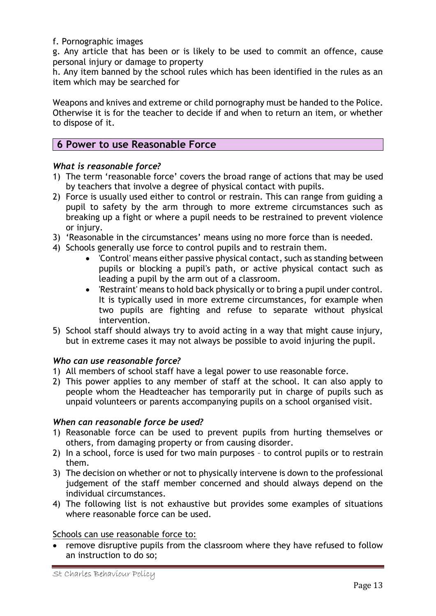#### f. Pornographic images

g. Any article that has been or is likely to be used to commit an offence, cause personal injury or damage to property

h. Any item banned by the school rules which has been identified in the rules as an item which may be searched for

Weapons and knives and extreme or child pornography must be handed to the Police. Otherwise it is for the teacher to decide if and when to return an item, or whether to dispose of it.

# **6 Power to use Reasonable Force**

#### *What is reasonable force?*

- 1) The term 'reasonable force' covers the broad range of actions that may be used by teachers that involve a degree of physical contact with pupils.
- 2) Force is usually used either to control or restrain. This can range from guiding a pupil to safety by the arm through to more extreme circumstances such as breaking up a fight or where a pupil needs to be restrained to prevent violence or injury.
- 3) 'Reasonable in the circumstances' means using no more force than is needed.
- 4) Schools generally use force to control pupils and to restrain them.
	- 'Control' means either passive physical contact, such as standing between pupils or blocking a pupil's path, or active physical contact such as leading a pupil by the arm out of a classroom.
	- 'Restraint' means to hold back physically or to bring a pupil under control. It is typically used in more extreme circumstances, for example when two pupils are fighting and refuse to separate without physical intervention.
- 5) School staff should always try to avoid acting in a way that might cause injury, but in extreme cases it may not always be possible to avoid injuring the pupil.

# *Who can use reasonable force?*

- 1) All members of school staff have a legal power to use reasonable force.
- 2) This power applies to any member of staff at the school. It can also apply to people whom the Headteacher has temporarily put in charge of pupils such as unpaid volunteers or parents accompanying pupils on a school organised visit.

#### *When can reasonable force be used?*

- 1) Reasonable force can be used to prevent pupils from hurting themselves or others, from damaging property or from causing disorder.
- 2) In a school, force is used for two main purposes to control pupils or to restrain them.
- 3) The decision on whether or not to physically intervene is down to the professional judgement of the staff member concerned and should always depend on the individual circumstances.
- 4) The following list is not exhaustive but provides some examples of situations where reasonable force can be used.

Schools can use reasonable force to:

• remove disruptive pupils from the classroom where they have refused to follow an instruction to do so;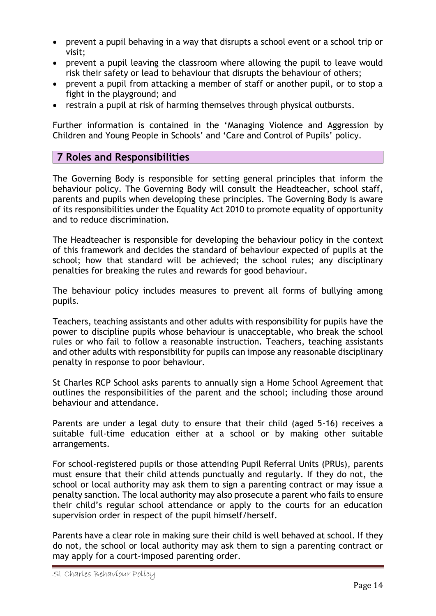- prevent a pupil behaving in a way that disrupts a school event or a school trip or visit;
- prevent a pupil leaving the classroom where allowing the pupil to leave would risk their safety or lead to behaviour that disrupts the behaviour of others;
- prevent a pupil from attacking a member of staff or another pupil, or to stop a fight in the playground; and
- restrain a pupil at risk of harming themselves through physical outbursts.

Further information is contained in the 'Managing Violence and Aggression by Children and Young People in Schools' and 'Care and Control of Pupils' policy.

# **7 Roles and Responsibilities**

The Governing Body is responsible for setting general principles that inform the behaviour policy. The Governing Body will consult the Headteacher, school staff, parents and pupils when developing these principles. The Governing Body is aware of its responsibilities under the Equality Act 2010 to promote equality of opportunity and to reduce discrimination.

The Headteacher is responsible for developing the behaviour policy in the context of this framework and decides the standard of behaviour expected of pupils at the school; how that standard will be achieved; the school rules; any disciplinary penalties for breaking the rules and rewards for good behaviour.

The behaviour policy includes measures to prevent all forms of bullying among pupils.

Teachers, teaching assistants and other adults with responsibility for pupils have the power to discipline pupils whose behaviour is unacceptable, who break the school rules or who fail to follow a reasonable instruction. Teachers, teaching assistants and other adults with responsibility for pupils can impose any reasonable disciplinary penalty in response to poor behaviour.

St Charles RCP School asks parents to annually sign a Home School Agreement that outlines the responsibilities of the parent and the school; including those around behaviour and attendance.

Parents are under a legal duty to ensure that their child (aged 5-16) receives a suitable full-time education either at a school or by making other suitable arrangements.

For school-registered pupils or those attending Pupil Referral Units (PRUs), parents must ensure that their child attends punctually and regularly. If they do not, the school or local authority may ask them to sign a parenting contract or may issue a penalty sanction. The local authority may also prosecute a parent who fails to ensure their child's regular school attendance or apply to the courts for an education supervision order in respect of the pupil himself/herself.

Parents have a clear role in making sure their child is well behaved at school. If they do not, the school or local authority may ask them to sign a parenting contract or may apply for a court-imposed parenting order.